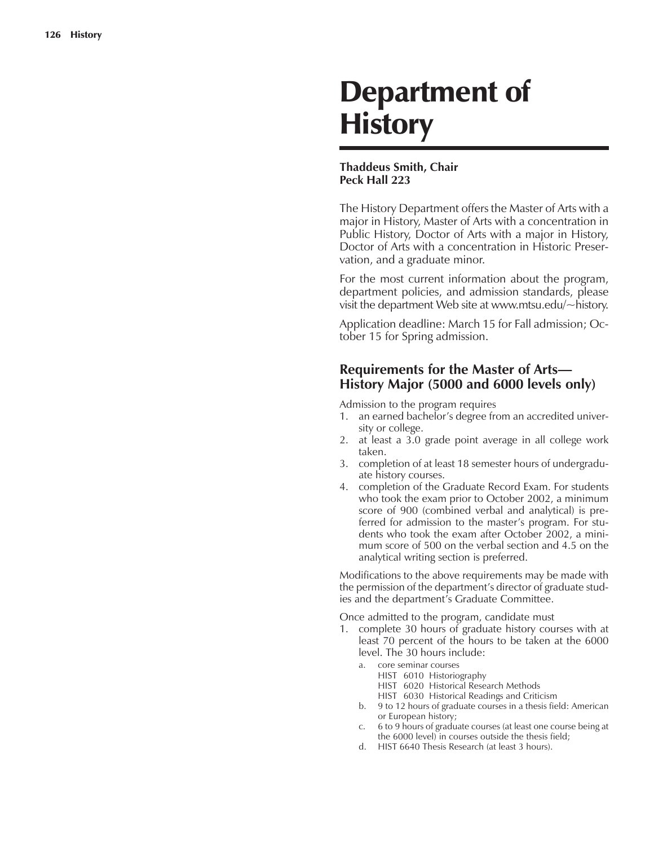# Department of **History**

## **Thaddeus Smith, Chair Peck Hall 223**

The History Department offers the Master of Arts with a major in History, Master of Arts with a concentration in Public History, Doctor of Arts with a major in History, Doctor of Arts with a concentration in Historic Preservation, and a graduate minor.

For the most current information about the program, department policies, and admission standards, please visit the department Web site at www.mtsu.edu/~history.

Application deadline: March 15 for Fall admission; October 15 for Spring admission.

# **Requirements for the Master of Arts— History Major (5000 and 6000 levels only)**

Admission to the program requires

- 1. an earned bachelor's degree from an accredited university or college.
- 2. at least a 3.0 grade point average in all college work taken.
- 3. completion of at least 18 semester hours of undergraduate history courses.
- 4. completion of the Graduate Record Exam. For students who took the exam prior to October 2002, a minimum score of 900 (combined verbal and analytical) is preferred for admission to the master's program. For students who took the exam after October 2002, a minimum score of 500 on the verbal section and 4.5 on the analytical writing section is preferred.

Modifications to the above requirements may be made with the permission of the department's director of graduate studies and the department's Graduate Committee.

Once admitted to the program, candidate must

- 1. complete 30 hours of graduate history courses with at least 70 percent of the hours to be taken at the 6000 level. The 30 hours include:
	- a. core seminar courses HIST 6010 Historiography
		- HIST 6020 Historical Research Methods
		- HIST 6030 Historical Readings and Criticism
	- b. 9 to 12 hours of graduate courses in a thesis field: American or European history;
	- c. 6 to 9 hours of graduate courses (at least one course being at the 6000 level) in courses outside the thesis field;
	- d. HIST 6640 Thesis Research (at least 3 hours).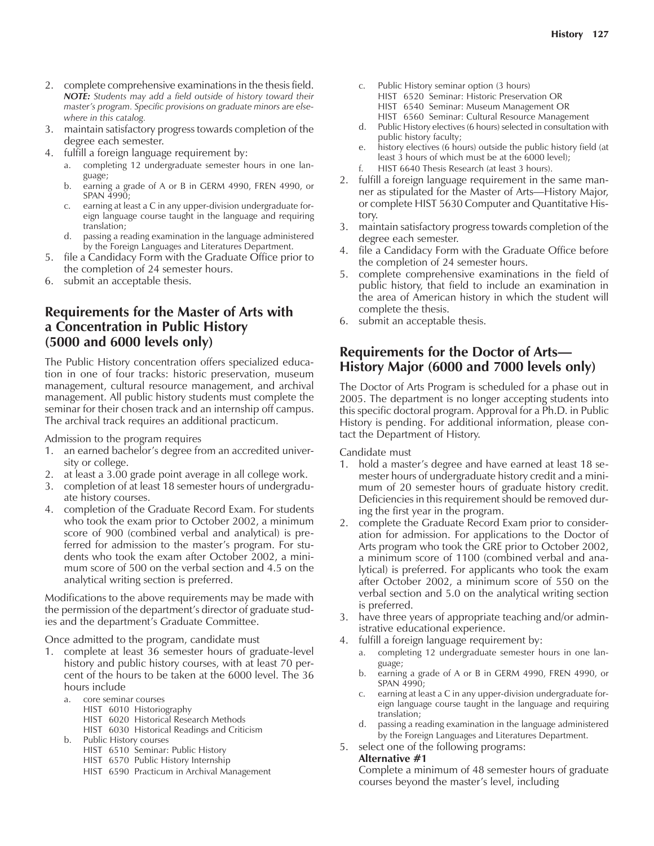- 2. complete comprehensive examinations in the thesis field. *NOTE: Students may add a field outside of history toward their master's program. Specific provisions on graduate minors are elsewhere in this catalog.*
- 3. maintain satisfactory progress towards completion of the degree each semester.
- 4. fulfill a foreign language requirement by:
	- a. completing 12 undergraduate semester hours in one language;
	- b. earning a grade of A or B in GERM 4990, FREN 4990, or SPAN 4990;
	- c. earning at least a C in any upper-division undergraduate foreign language course taught in the language and requiring translation;
	- d. passing a reading examination in the language administered by the Foreign Languages and Literatures Department.
- 5. file a Candidacy Form with the Graduate Office prior to the completion of 24 semester hours.
- 6. submit an acceptable thesis.

# **Requirements for the Master of Arts with a Concentration in Public History (5000 and 6000 levels only)**

The Public History concentration offers specialized education in one of four tracks: historic preservation, museum management, cultural resource management, and archival management. All public history students must complete the seminar for their chosen track and an internship off campus. The archival track requires an additional practicum.

Admission to the program requires

- 1. an earned bachelor's degree from an accredited university or college.
- 2. at least a 3.00 grade point average in all college work.
- 3. completion of at least 18 semester hours of undergraduate history courses.
- 4. completion of the Graduate Record Exam. For students who took the exam prior to October 2002, a minimum score of 900 (combined verbal and analytical) is preferred for admission to the master's program. For students who took the exam after October 2002, a minimum score of 500 on the verbal section and 4.5 on the analytical writing section is preferred.

Modifications to the above requirements may be made with the permission of the department's director of graduate studies and the department's Graduate Committee.

Once admitted to the program, candidate must

- 1. complete at least 36 semester hours of graduate-level history and public history courses, with at least 70 percent of the hours to be taken at the 6000 level. The 36 hours include
	- a. core seminar courses
		- HIST 6010 Historiography
			- HIST 6020 Historical Research Methods
		- HIST 6030 Historical Readings and Criticism
	- b. Public History courses
		- HIST 6510 Seminar: Public History
		- HIST 6570 Public History Internship
		- HIST 6590 Practicum in Archival Management
- c. Public History seminar option (3 hours)
	- HIST 6520 Seminar: Historic Preservation OR
	- HIST 6540 Seminar: Museum Management OR
- HIST 6560 Seminar: Cultural Resource Management d. Public History electives (6 hours) selected in consultation with public history faculty;
- e. history electives (6 hours) outside the public history field (at least 3 hours of which must be at the 6000 level);
- f. HIST 6640 Thesis Research (at least 3 hours).
- 2. fulfill a foreign language requirement in the same manner as stipulated for the Master of Arts—History Major, or complete HIST 5630 Computer and Quantitative History.
- 3. maintain satisfactory progress towards completion of the degree each semester.
- 4. file a Candidacy Form with the Graduate Office before the completion of 24 semester hours.
- 5. complete comprehensive examinations in the field of public history, that field to include an examination in the area of American history in which the student will complete the thesis.
- 6. submit an acceptable thesis.

# **Requirements for the Doctor of Arts— History Major (6000 and 7000 levels only)**

The Doctor of Arts Program is scheduled for a phase out in 2005. The department is no longer accepting students into this specific doctoral program. Approval for a Ph.D. in Public History is pending. For additional information, please contact the Department of History.

Candidate must

- 1. hold a master's degree and have earned at least 18 semester hours of undergraduate history credit and a minimum of 20 semester hours of graduate history credit. Deficiencies in this requirement should be removed during the first year in the program.
- 2. complete the Graduate Record Exam prior to consideration for admission. For applications to the Doctor of Arts program who took the GRE prior to October 2002, a minimum score of 1100 (combined verbal and analytical) is preferred. For applicants who took the exam after October 2002, a minimum score of 550 on the verbal section and 5.0 on the analytical writing section is preferred.
- 3. have three years of appropriate teaching and/or administrative educational experience.
- 4. fulfill a foreign language requirement by:
	- a. completing 12 undergraduate semester hours in one language;
	- b. earning a grade of A or B in GERM 4990, FREN 4990, or SPAN 4990;
	- c. earning at least a C in any upper-division undergraduate foreign language course taught in the language and requiring translation;
	- d. passing a reading examination in the language administered by the Foreign Languages and Literatures Department.

#### 5. select one of the following programs:

#### **Alternative #1**

Complete a minimum of 48 semester hours of graduate courses beyond the master's level, including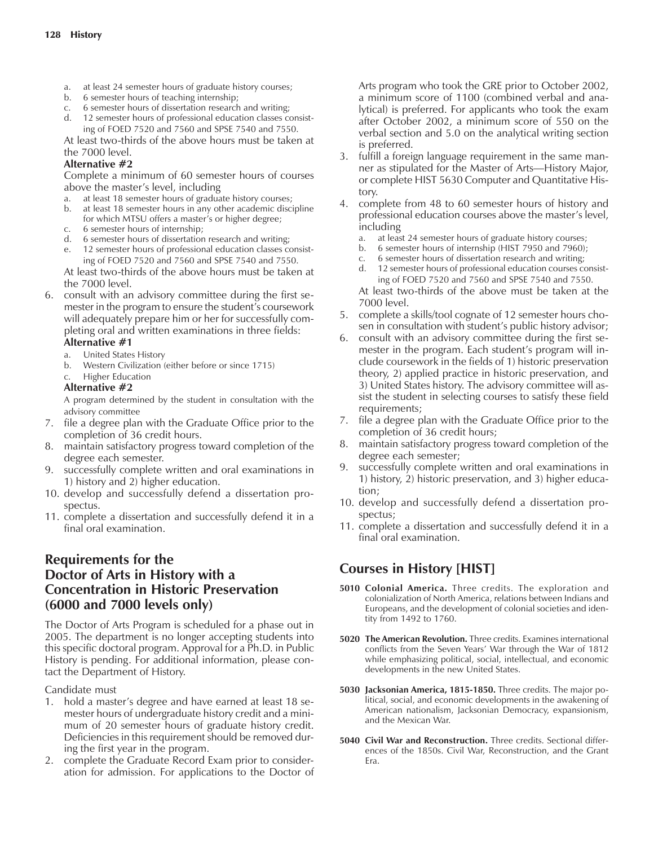- a. at least 24 semester hours of graduate history courses;
- b. 6 semester hours of teaching internship;
- c. 6 semester hours of dissertation research and writing;
- d. 12 semester hours of professional education classes consisting of FOED 7520 and 7560 and SPSE 7540 and 7550.

At least two-thirds of the above hours must be taken at the 7000 level.

## **Alternative #2**

Complete a minimum of 60 semester hours of courses above the master's level, including

- a. at least 18 semester hours of graduate history courses;
- b. at least 18 semester hours in any other academic discipline for which MTSU offers a master's or higher degree;
- c. 6 semester hours of internship;
- d. 6 semester hours of dissertation research and writing;
- e. 12 semester hours of professional education classes consisting of FOED 7520 and 7560 and SPSE 7540 and 7550.

At least two-thirds of the above hours must be taken at the 7000 level.

6. consult with an advisory committee during the first semester in the program to ensure the student's coursework will adequately prepare him or her for successfully completing oral and written examinations in three fields:

## **Alternative #1**

- a. United States History
- b. Western Civilization (either before or since 1715)
- c. Higher Education

## **Alternative #2**

A program determined by the student in consultation with the advisory committee

- 7. file a degree plan with the Graduate Office prior to the completion of 36 credit hours.
- 8. maintain satisfactory progress toward completion of the degree each semester.
- 9. successfully complete written and oral examinations in 1) history and 2) higher education.
- 10. develop and successfully defend a dissertation prospectus.
- 11. complete a dissertation and successfully defend it in a final oral examination.

# **Requirements for the Doctor of Arts in History with a Concentration in Historic Preservation (6000 and 7000 levels only)**

The Doctor of Arts Program is scheduled for a phase out in 2005. The department is no longer accepting students into this specific doctoral program. Approval for a Ph.D. in Public History is pending. For additional information, please contact the Department of History.

Candidate must

- 1. hold a master's degree and have earned at least 18 semester hours of undergraduate history credit and a minimum of 20 semester hours of graduate history credit. Deficiencies in this requirement should be removed during the first year in the program.
- 2. complete the Graduate Record Exam prior to consideration for admission. For applications to the Doctor of

Arts program who took the GRE prior to October 2002, a minimum score of 1100 (combined verbal and analytical) is preferred. For applicants who took the exam after October 2002, a minimum score of 550 on the verbal section and 5.0 on the analytical writing section is preferred.

- 3. fulfill a foreign language requirement in the same manner as stipulated for the Master of Arts—History Major, or complete HIST 5630 Computer and Quantitative History.
- 4. complete from 48 to 60 semester hours of history and professional education courses above the master's level, including
	- a. at least 24 semester hours of graduate history courses;
	- b. 6 semester hours of internship (HIST 7950 and 7960);
	- 6 semester hours of dissertation research and writing;
	- d. 12 semester hours of professional education courses consisting of FOED 7520 and 7560 and SPSE 7540 and 7550.
	- At least two-thirds of the above must be taken at the 7000 level.
- 5. complete a skills/tool cognate of 12 semester hours chosen in consultation with student's public history advisor;
- 6. consult with an advisory committee during the first semester in the program. Each student's program will include coursework in the fields of 1) historic preservation theory, 2) applied practice in historic preservation, and 3) United States history. The advisory committee will assist the student in selecting courses to satisfy these field requirements;
- 7. file a degree plan with the Graduate Office prior to the completion of 36 credit hours;
- 8. maintain satisfactory progress toward completion of the degree each semester;
- 9. successfully complete written and oral examinations in 1) history, 2) historic preservation, and 3) higher education;
- 10. develop and successfully defend a dissertation prospectus;
- 11. complete a dissertation and successfully defend it in a final oral examination.

# **Courses in History [HIST]**

- **5010 Colonial America.** Three credits. The exploration and colonialization of North America, relations between Indians and Europeans, and the development of colonial societies and identity from 1492 to 1760.
- **5020 The American Revolution.** Three credits. Examines international conflicts from the Seven Years' War through the War of 1812 while emphasizing political, social, intellectual, and economic developments in the new United States.
- **5030 Jacksonian America, 1815-1850.** Three credits. The major political, social, and economic developments in the awakening of American nationalism, Jacksonian Democracy, expansionism, and the Mexican War.
- **5040 Civil War and Reconstruction.** Three credits. Sectional differences of the 1850s. Civil War, Reconstruction, and the Grant Era.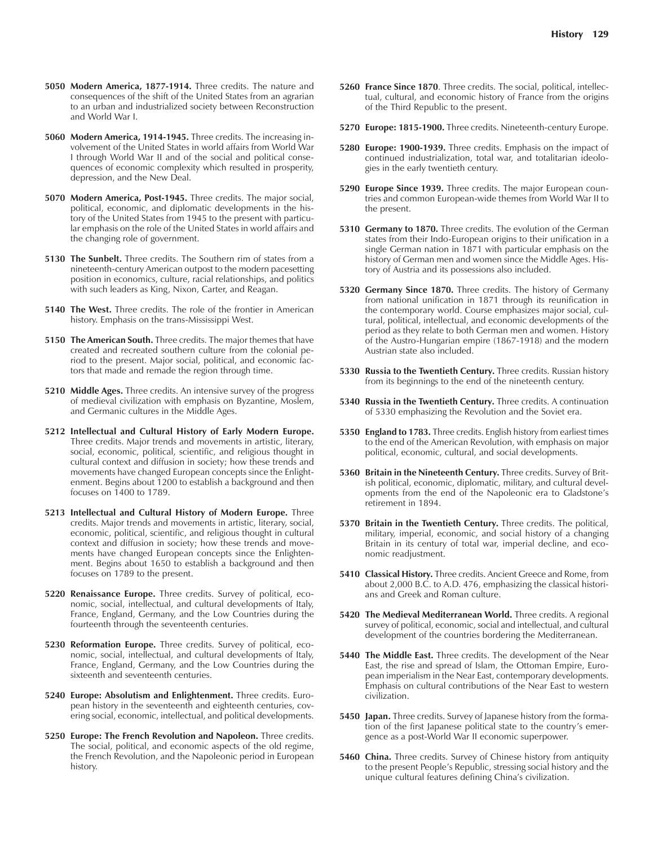- **5050 Modern America, 1877-1914.** Three credits. The nature and consequences of the shift of the United States from an agrarian to an urban and industrialized society between Reconstruction and World War I.
- **5060 Modern America, 1914-1945.** Three credits. The increasing involvement of the United States in world affairs from World War I through World War II and of the social and political consequences of economic complexity which resulted in prosperity, depression, and the New Deal.
- **5070 Modern America, Post-1945.** Three credits. The major social, political, economic, and diplomatic developments in the history of the United States from 1945 to the present with particular emphasis on the role of the United States in world affairs and the changing role of government.
- **5130 The Sunbelt.** Three credits. The Southern rim of states from a nineteenth-century American outpost to the modern pacesetting position in economics, culture, racial relationships, and politics with such leaders as King, Nixon, Carter, and Reagan.
- **5140 The West.** Three credits. The role of the frontier in American history. Emphasis on the trans-Mississippi West.
- **5150 The American South.** Three credits. The major themes that have created and recreated southern culture from the colonial period to the present. Major social, political, and economic factors that made and remade the region through time.
- **5210 Middle Ages.** Three credits. An intensive survey of the progress of medieval civilization with emphasis on Byzantine, Moslem, and Germanic cultures in the Middle Ages.
- **5212 Intellectual and Cultural History of Early Modern Europe.** Three credits. Major trends and movements in artistic, literary, social, economic, political, scientific, and religious thought in cultural context and diffusion in society; how these trends and movements have changed European concepts since the Enlightenment. Begins about 1200 to establish a background and then focuses on 1400 to 1789.
- **5213 Intellectual and Cultural History of Modern Europe.** Three credits. Major trends and movements in artistic, literary, social, economic, political, scientific, and religious thought in cultural context and diffusion in society; how these trends and movements have changed European concepts since the Enlightenment. Begins about 1650 to establish a background and then focuses on 1789 to the present.
- **5220 Renaissance Europe.** Three credits. Survey of political, economic, social, intellectual, and cultural developments of Italy, France, England, Germany, and the Low Countries during the fourteenth through the seventeenth centuries.
- **5230 Reformation Europe.** Three credits. Survey of political, economic, social, intellectual, and cultural developments of Italy, France, England, Germany, and the Low Countries during the sixteenth and seventeenth centuries.
- **5240 Europe: Absolutism and Enlightenment.** Three credits. European history in the seventeenth and eighteenth centuries, covering social, economic, intellectual, and political developments.
- **5250 Europe: The French Revolution and Napoleon.** Three credits. The social, political, and economic aspects of the old regime, the French Revolution, and the Napoleonic period in European history.
- **5260 France Since 1870**. Three credits. The social, political, intellectual, cultural, and economic history of France from the origins of the Third Republic to the present.
- **5270 Europe: 1815-1900.** Three credits. Nineteenth-century Europe.
- **5280 Europe: 1900-1939.** Three credits. Emphasis on the impact of continued industrialization, total war, and totalitarian ideologies in the early twentieth century.
- **5290 Europe Since 1939.** Three credits. The major European countries and common European-wide themes from World War II to the present.
- **5310 Germany to 1870.** Three credits. The evolution of the German states from their Indo-European origins to their unification in a single German nation in 1871 with particular emphasis on the history of German men and women since the Middle Ages. History of Austria and its possessions also included.
- **5320 Germany Since 1870.** Three credits. The history of Germany from national unification in 1871 through its reunification in the contemporary world. Course emphasizes major social, cultural, political, intellectual, and economic developments of the period as they relate to both German men and women. History of the Austro-Hungarian empire (1867-1918) and the modern Austrian state also included.
- **5330 Russia to the Twentieth Century.** Three credits. Russian history from its beginnings to the end of the nineteenth century.
- **5340 Russia in the Twentieth Century.** Three credits. A continuation of 5330 emphasizing the Revolution and the Soviet era.
- **5350 England to 1783.** Three credits. English history from earliest times to the end of the American Revolution, with emphasis on major political, economic, cultural, and social developments.
- **5360 Britain in the Nineteenth Century.** Three credits. Survey of British political, economic, diplomatic, military, and cultural developments from the end of the Napoleonic era to Gladstone's retirement in 1894.
- **5370 Britain in the Twentieth Century.** Three credits. The political, military, imperial, economic, and social history of a changing Britain in its century of total war, imperial decline, and economic readjustment.
- **5410 Classical History.** Three credits. Ancient Greece and Rome, from about 2,000 B.C. to A.D. 476, emphasizing the classical historians and Greek and Roman culture.
- **5420 The Medieval Mediterranean World.** Three credits. A regional survey of political, economic, social and intellectual, and cultural development of the countries bordering the Mediterranean.
- **5440 The Middle East.** Three credits. The development of the Near East, the rise and spread of Islam, the Ottoman Empire, European imperialism in the Near East, contemporary developments. Emphasis on cultural contributions of the Near East to western civilization.
- **5450 Japan.** Three credits. Survey of Japanese history from the formation of the first Japanese political state to the country's emergence as a post-World War II economic superpower.
- **5460 China.** Three credits. Survey of Chinese history from antiquity to the present People's Republic, stressing social history and the unique cultural features defining China's civilization.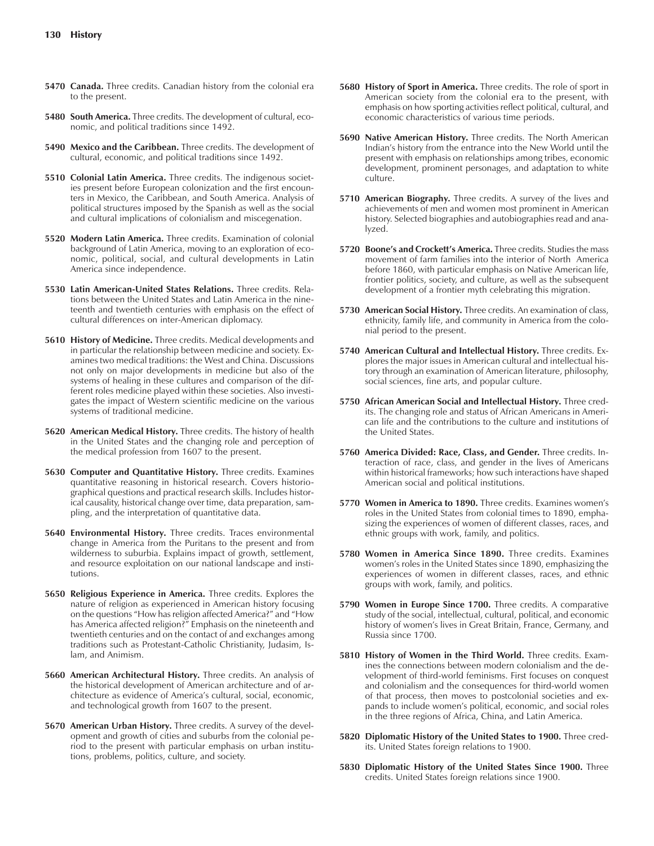- **5470 Canada.** Three credits. Canadian history from the colonial era to the present.
- **5480 South America.** Three credits. The development of cultural, economic, and political traditions since 1492.
- **5490 Mexico and the Caribbean.** Three credits. The development of cultural, economic, and political traditions since 1492.
- **5510 Colonial Latin America.** Three credits. The indigenous societies present before European colonization and the first encounters in Mexico, the Caribbean, and South America. Analysis of political structures imposed by the Spanish as well as the social and cultural implications of colonialism and miscegenation.
- **5520 Modern Latin America.** Three credits. Examination of colonial background of Latin America, moving to an exploration of economic, political, social, and cultural developments in Latin America since independence.
- **5530 Latin American-United States Relations.** Three credits. Relations between the United States and Latin America in the nineteenth and twentieth centuries with emphasis on the effect of cultural differences on inter-American diplomacy.
- **5610 History of Medicine.** Three credits. Medical developments and in particular the relationship between medicine and society. Examines two medical traditions: the West and China. Discussions not only on major developments in medicine but also of the systems of healing in these cultures and comparison of the different roles medicine played within these societies. Also investigates the impact of Western scientific medicine on the various systems of traditional medicine.
- **5620 American Medical History.** Three credits. The history of health in the United States and the changing role and perception of the medical profession from 1607 to the present.
- **5630 Computer and Quantitative History.** Three credits. Examines quantitative reasoning in historical research. Covers historiographical questions and practical research skills. Includes historical causality, historical change over time, data preparation, sampling, and the interpretation of quantitative data.
- **5640 Environmental History.** Three credits. Traces environmental change in America from the Puritans to the present and from wilderness to suburbia. Explains impact of growth, settlement, and resource exploitation on our national landscape and institutions.
- **5650 Religious Experience in America.** Three credits. Explores the nature of religion as experienced in American history focusing on the questions "How has religion affected America?" and "How has America affected religion?" Emphasis on the nineteenth and twentieth centuries and on the contact of and exchanges among traditions such as Protestant-Catholic Christianity, Judasim, Islam, and Animism.
- **5660 American Architectural History.** Three credits. An analysis of the historical development of American architecture and of architecture as evidence of America's cultural, social, economic, and technological growth from 1607 to the present.
- **5670 American Urban History.** Three credits. A survey of the development and growth of cities and suburbs from the colonial period to the present with particular emphasis on urban institutions, problems, politics, culture, and society.
- **5680 History of Sport in America.** Three credits. The role of sport in American society from the colonial era to the present, with emphasis on how sporting activities reflect political, cultural, and economic characteristics of various time periods.
- **5690 Native American History.** Three credits. The North American Indian's history from the entrance into the New World until the present with emphasis on relationships among tribes, economic development, prominent personages, and adaptation to white culture.
- **5710 American Biography.** Three credits. A survey of the lives and achievements of men and women most prominent in American history. Selected biographies and autobiographies read and analyzed.
- **5720 Boone's and Crockett's America.** Three credits. Studies the mass movement of farm families into the interior of North America before 1860, with particular emphasis on Native American life, frontier politics, society, and culture, as well as the subsequent development of a frontier myth celebrating this migration.
- **5730 American Social History.** Three credits. An examination of class, ethnicity, family life, and community in America from the colonial period to the present.
- **5740 American Cultural and Intellectual History.** Three credits. Explores the major issues in American cultural and intellectual history through an examination of American literature, philosophy, social sciences, fine arts, and popular culture.
- **5750 African American Social and Intellectual History.** Three credits. The changing role and status of African Americans in American life and the contributions to the culture and institutions of the United States.
- **5760 America Divided: Race, Class, and Gender.** Three credits. Interaction of race, class, and gender in the lives of Americans within historical frameworks; how such interactions have shaped American social and political institutions.
- **5770 Women in America to 1890.** Three credits. Examines women's roles in the United States from colonial times to 1890, emphasizing the experiences of women of different classes, races, and ethnic groups with work, family, and politics.
- **5780 Women in America Since 1890.** Three credits. Examines women's roles in the United States since 1890, emphasizing the experiences of women in different classes, races, and ethnic groups with work, family, and politics.
- **5790 Women in Europe Since 1700.** Three credits. A comparative study of the social, intellectual, cultural, political, and economic history of women's lives in Great Britain, France, Germany, and Russia since 1700.
- **5810 History of Women in the Third World.** Three credits. Examines the connections between modern colonialism and the development of third-world feminisms. First focuses on conquest and colonialism and the consequences for third-world women of that process, then moves to postcolonial societies and expands to include women's political, economic, and social roles in the three regions of Africa, China, and Latin America.
- **5820 Diplomatic History of the United States to 1900.** Three credits. United States foreign relations to 1900.
- **5830 Diplomatic History of the United States Since 1900.** Three credits. United States foreign relations since 1900.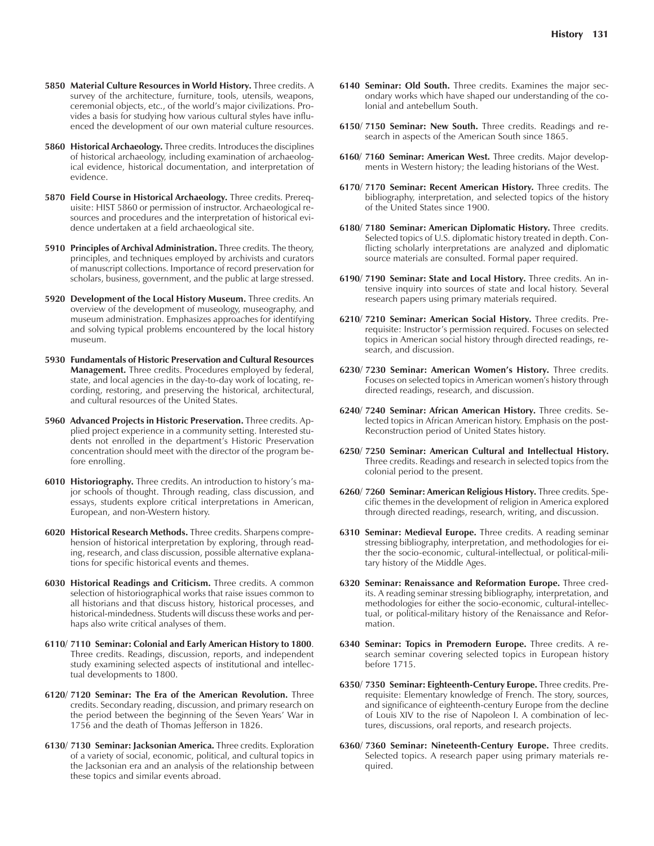- **5860 Historical Archaeology.** Three credits. Introduces the disciplines of historical archaeology, including examination of archaeological evidence, historical documentation, and interpretation of evidence.
- **5870 Field Course in Historical Archaeology.** Three credits. Prerequisite: HIST 5860 or permission of instructor. Archaeological resources and procedures and the interpretation of historical evidence undertaken at a field archaeological site.
- **5910 Principles of Archival Administration.** Three credits. The theory, principles, and techniques employed by archivists and curators of manuscript collections. Importance of record preservation for scholars, business, government, and the public at large stressed.
- **5920 Development of the Local History Museum.** Three credits. An overview of the development of museology, museography, and museum administration. Emphasizes approaches for identifying and solving typical problems encountered by the local history museum.
- **5930 Fundamentals of Historic Preservation and Cultural Resources Management.** Three credits. Procedures employed by federal, state, and local agencies in the day-to-day work of locating, recording, restoring, and preserving the historical, architectural, and cultural resources of the United States.
- **5960 Advanced Projects in Historic Preservation.** Three credits. Applied project experience in a community setting. Interested students not enrolled in the department's Historic Preservation concentration should meet with the director of the program before enrolling.
- **6010 Historiography.** Three credits. An introduction to history's major schools of thought. Through reading, class discussion, and essays, students explore critical interpretations in American, European, and non-Western history.
- **6020 Historical Research Methods.** Three credits. Sharpens comprehension of historical interpretation by exploring, through reading, research, and class discussion, possible alternative explanations for specific historical events and themes.
- **6030 Historical Readings and Criticism.** Three credits. A common selection of historiographical works that raise issues common to all historians and that discuss history, historical processes, and historical-mindedness. Students will discuss these works and perhaps also write critical analyses of them.
- **6110/ 7110 Seminar: Colonial and Early American History to 1800**. Three credits. Readings, discussion, reports, and independent study examining selected aspects of institutional and intellectual developments to 1800.
- **6120/ 7120 Seminar: The Era of the American Revolution.** Three credits. Secondary reading, discussion, and primary research on the period between the beginning of the Seven Years' War in 1756 and the death of Thomas Jefferson in 1826.
- **6130/ 7130 Seminar: Jacksonian America.** Three credits. Exploration of a variety of social, economic, political, and cultural topics in the Jacksonian era and an analysis of the relationship between these topics and similar events abroad.
- **6140 Seminar: Old South.** Three credits. Examines the major secondary works which have shaped our understanding of the colonial and antebellum South.
- **6150/ 7150 Seminar: New South.** Three credits. Readings and research in aspects of the American South since 1865.
- **6160/ 7160 Seminar: American West.** Three credits. Major developments in Western history; the leading historians of the West.
- **6170/ 7170 Seminar: Recent American History.** Three credits. The bibliography, interpretation, and selected topics of the history of the United States since 1900.
- **6180/ 7180 Seminar: American Diplomatic History.** Three credits. Selected topics of U.S. diplomatic history treated in depth. Conflicting scholarly interpretations are analyzed and diplomatic source materials are consulted. Formal paper required.
- **6190/ 7190 Seminar: State and Local History.** Three credits. An intensive inquiry into sources of state and local history. Several research papers using primary materials required.
- **6210/ 7210 Seminar: American Social History.** Three credits. Prerequisite: Instructor's permission required. Focuses on selected topics in American social history through directed readings, research, and discussion.
- **6230/ 7230 Seminar: American Women's History.** Three credits. Focuses on selected topics in American women's history through directed readings, research, and discussion.
- **6240/ 7240 Seminar: African American History.** Three credits. Selected topics in African American history. Emphasis on the post-Reconstruction period of United States history.
- **6250/ 7250 Seminar: American Cultural and Intellectual History.** Three credits. Readings and research in selected topics from the colonial period to the present.
- **6260/ 7260 Seminar: American Religious History.** Three credits. Specific themes in the development of religion in America explored through directed readings, research, writing, and discussion.
- **6310 Seminar: Medieval Europe.** Three credits. A reading seminar stressing bibliography, interpretation, and methodologies for either the socio-economic, cultural-intellectual, or political-military history of the Middle Ages.
- **6320 Seminar: Renaissance and Reformation Europe.** Three credits. A reading seminar stressing bibliography, interpretation, and methodologies for either the socio-economic, cultural-intellectual, or political-military history of the Renaissance and Reformation.
- **6340 Seminar: Topics in Premodern Europe.** Three credits. A research seminar covering selected topics in European history before 1715.
- **6350/ 7350 Seminar: Eighteenth-Century Europe.** Three credits. Prerequisite: Elementary knowledge of French. The story, sources, and significance of eighteenth-century Europe from the decline of Louis XIV to the rise of Napoleon I. A combination of lectures, discussions, oral reports, and research projects.
- **6360/ 7360 Seminar: Nineteenth-Century Europe.** Three credits. Selected topics. A research paper using primary materials required.